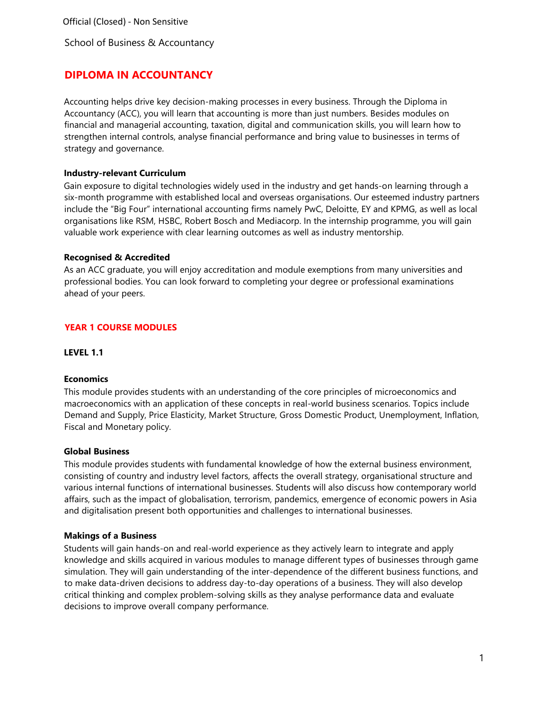School of Business & Accountancy

# **DIPLOMA IN ACCOUNTANCY**

Accounting helps drive key decision-making processes in every business. Through the Diploma in Accountancy (ACC), you will learn that accounting is more than just numbers. Besides modules on financial and managerial accounting, taxation, digital and communication skills, you will learn how to strengthen internal controls, analyse financial performance and bring value to businesses in terms of strategy and governance.

### **Industry-relevant Curriculum**

Gain exposure to digital technologies widely used in the industry and get hands-on learning through a six-month programme with established local and overseas organisations. Our esteemed industry partners include the "Big Four" international accounting firms namely PwC, Deloitte, EY and KPMG, as well as local organisations like RSM, HSBC, Robert Bosch and Mediacorp. In the internship programme, you will gain valuable work experience with clear learning outcomes as well as industry mentorship.

### **Recognised & Accredited**

As an ACC graduate, you will enjoy accreditation and module exemptions from many universities and professional bodies. You can look forward to completing your degree or professional examinations ahead of your peers.

# **YEAR 1 COURSE MODULES**

**LEVEL 1.1** 

# **Economics**

This module provides students with an understanding of the core principles of microeconomics and macroeconomics with an application of these concepts in real-world business scenarios. Topics include Demand and Supply, Price Elasticity, Market Structure, Gross Domestic Product, Unemployment, Inflation, Fiscal and Monetary policy.

#### **Global Business**

This module provides students with fundamental knowledge of how the external business environment, consisting of country and industry level factors, affects the overall strategy, organisational structure and various internal functions of international businesses. Students will also discuss how contemporary world affairs, such as the impact of globalisation, terrorism, pandemics, emergence of economic powers in Asia and digitalisation present both opportunities and challenges to international businesses.

#### **Makings of a Business**

Students will gain hands-on and real-world experience as they actively learn to integrate and apply knowledge and skills acquired in various modules to manage different types of businesses through game simulation. They will gain understanding of the inter-dependence of the different business functions, and to make data-driven decisions to address day-to-day operations of a business. They will also develop critical thinking and complex problem-solving skills as they analyse performance data and evaluate decisions to improve overall company performance.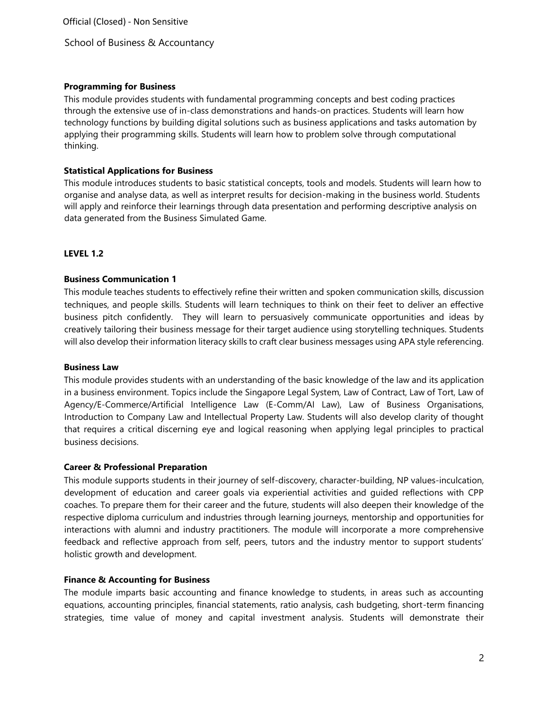School of Business & Accountancy

# **Programming for Business**

This module provides students with fundamental programming concepts and best coding practices through the extensive use of in-class demonstrations and hands-on practices. Students will learn how technology functions by building digital solutions such as business applications and tasks automation by applying their programming skills. Students will learn how to problem solve through computational thinking.

### **Statistical Applications for Business**

This module introduces students to basic statistical concepts, tools and models. Students will learn how to organise and analyse data, as well as interpret results for decision-making in the business world. Students will apply and reinforce their learnings through data presentation and performing descriptive analysis on data generated from the Business Simulated Game.

### **LEVEL 1.2**

### **Business Communication 1**

This module teaches students to effectively refine their written and spoken communication skills, discussion techniques, and people skills. Students will learn techniques to think on their feet to deliver an effective business pitch confidently. They will learn to persuasively communicate opportunities and ideas by creatively tailoring their business message for their target audience using storytelling techniques. Students will also develop their information literacy skills to craft clear business messages using APA style referencing.

#### **Business Law**

This module provides students with an understanding of the basic knowledge of the law and its application in a business environment. Topics include the Singapore Legal System, Law of Contract, Law of Tort, Law of Agency/E-Commerce/Artificial Intelligence Law (E-Comm/AI Law), Law of Business Organisations, Introduction to Company Law and Intellectual Property Law. Students will also develop clarity of thought that requires a critical discerning eye and logical reasoning when applying legal principles to practical business decisions.

#### **Career & Professional Preparation**

This module supports students in their journey of self-discovery, character-building, NP values-inculcation, development of education and career goals via experiential activities and guided reflections with CPP coaches. To prepare them for their career and the future, students will also deepen their knowledge of the respective diploma curriculum and industries through learning journeys, mentorship and opportunities for interactions with alumni and industry practitioners. The module will incorporate a more comprehensive feedback and reflective approach from self, peers, tutors and the industry mentor to support students' holistic growth and development.

#### **Finance & Accounting for Business**

The module imparts basic accounting and finance knowledge to students, in areas such as accounting equations, accounting principles, financial statements, ratio analysis, cash budgeting, short-term financing strategies, time value of money and capital investment analysis. Students will demonstrate their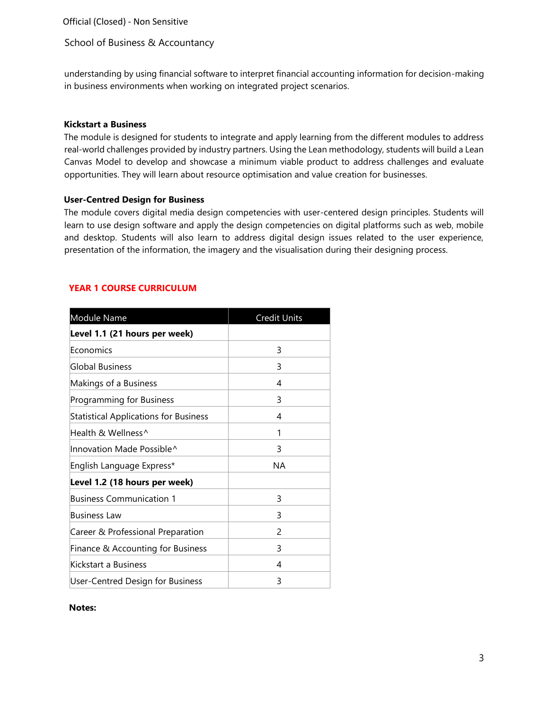### School of Business & Accountancy

understanding by using financial software to interpret financial accounting information for decision-making in business environments when working on integrated project scenarios.

#### **Kickstart a Business**

The module is designed for students to integrate and apply learning from the different modules to address real-world challenges provided by industry partners. Using the Lean methodology, students will build a Lean Canvas Model to develop and showcase a minimum viable product to address challenges and evaluate opportunities. They will learn about resource optimisation and value creation for businesses.

### **User-Centred Design for Business**

The module covers digital media design competencies with user-centered design principles. Students will learn to use design software and apply the design competencies on digital platforms such as web, mobile and desktop. Students will also learn to address digital design issues related to the user experience, presentation of the information, the imagery and the visualisation during their designing process.

# **YEAR 1 COURSE CURRICULUM**

| Module Name                                  | <b>Credit Units</b> |
|----------------------------------------------|---------------------|
| Level 1.1 (21 hours per week)                |                     |
| Economics                                    | 3                   |
| Global Business                              | 3                   |
| Makings of a Business                        | 4                   |
| Programming for Business                     | 3                   |
| <b>Statistical Applications for Business</b> | 4                   |
| Health & Wellness^                           | 1                   |
| Innovation Made Possible^                    | 3                   |
| English Language Express*                    | ΝA                  |
| Level 1.2 (18 hours per week)                |                     |
| <b>Business Communication 1</b>              | 3                   |
| <b>Business Law</b>                          | 3                   |
| Career & Professional Preparation            | 2                   |
| Finance & Accounting for Business            | 3                   |
| Kickstart a Business                         | 4                   |
| User-Centred Design for Business             | 3                   |

**Notes:**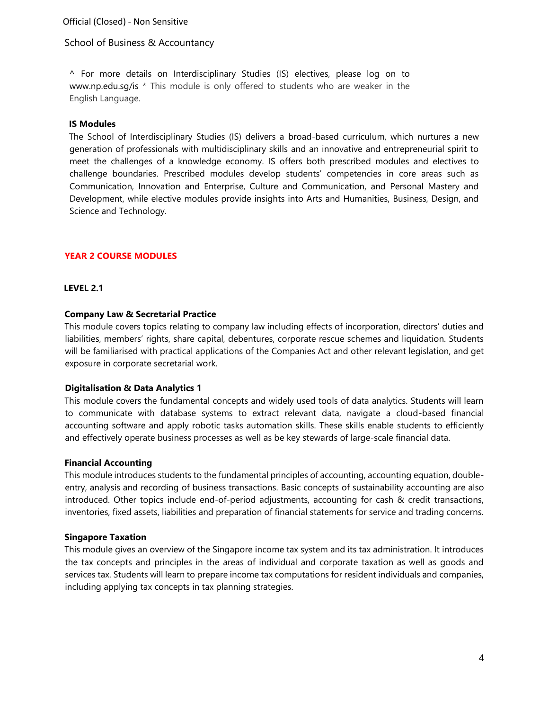School of Business & Accountancy

^ For more details on Interdisciplinary Studies (IS) electives, please log on to [www.np.edu.sg/is](http://www.np.edu.sg/is) \* This module is only offered to students who are weaker in the English Language.

# **IS Modules**

The School of Interdisciplinary Studies (IS) delivers a broad-based curriculum, which nurtures a new generation of professionals with multidisciplinary skills and an innovative and entrepreneurial spirit to meet the challenges of a knowledge economy. IS offers both prescribed modules and electives to challenge boundaries. Prescribed modules develop students' competencies in core areas such as Communication, Innovation and Enterprise, Culture and Communication, and Personal Mastery and Development, while elective modules provide insights into Arts and Humanities, Business, Design, and Science and Technology.

# **YEAR 2 COURSE MODULES**

#### **LEVEL 2.1**

#### **Company Law & Secretarial Practice**

This module covers topics relating to company law including effects of incorporation, directors' duties and liabilities, members' rights, share capital, debentures, corporate rescue schemes and liquidation. Students will be familiarised with practical applications of the Companies Act and other relevant legislation, and get exposure in corporate secretarial work.

#### **Digitalisation & Data Analytics 1**

This module covers the fundamental concepts and widely used tools of data analytics. Students will learn to communicate with database systems to extract relevant data, navigate a cloud-based financial accounting software and apply robotic tasks automation skills. These skills enable students to efficiently and effectively operate business processes as well as be key stewards of large-scale financial data.

#### **Financial Accounting**

This module introduces students to the fundamental principles of accounting, accounting equation, doubleentry, analysis and recording of business transactions. Basic concepts of sustainability accounting are also introduced. Other topics include end-of-period adjustments, accounting for cash & credit transactions, inventories, fixed assets, liabilities and preparation of financial statements for service and trading concerns.

#### **Singapore Taxation**

This module gives an overview of the Singapore income tax system and its tax administration. It introduces the tax concepts and principles in the areas of individual and corporate taxation as well as goods and services tax. Students will learn to prepare income tax computations for resident individuals and companies, including applying tax concepts in tax planning strategies.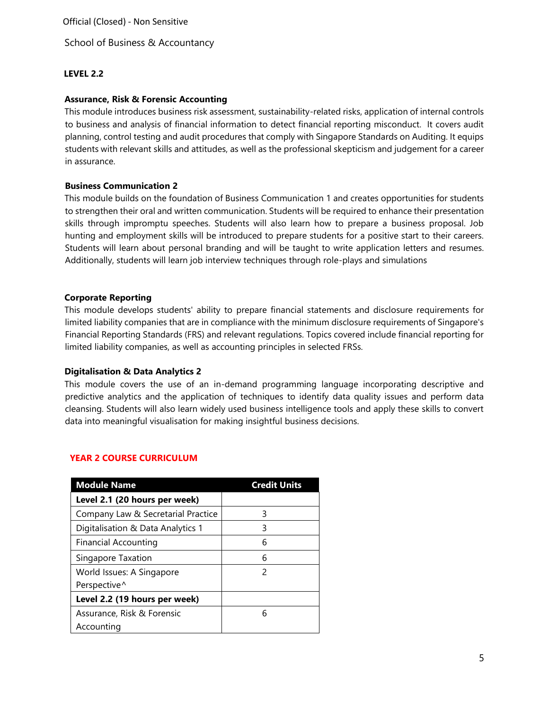School of Business & Accountancy

# **LEVEL 2.2**

### **Assurance, Risk & Forensic Accounting**

This module introduces business risk assessment, sustainability-related risks, application of internal controls to business and analysis of financial information to detect financial reporting misconduct. It covers audit planning, control testing and audit procedures that comply with Singapore Standards on Auditing. It equips students with relevant skills and attitudes, as well as the professional skepticism and judgement for a career in assurance.

### **Business Communication 2**

This module builds on the foundation of Business Communication 1 and creates opportunities for students to strengthen their oral and written communication. Students will be required to enhance their presentation skills through impromptu speeches. Students will also learn how to prepare a business proposal. Job hunting and employment skills will be introduced to prepare students for a positive start to their careers. Students will learn about personal branding and will be taught to write application letters and resumes. Additionally, students will learn job interview techniques through role-plays and simulations

### **Corporate Reporting**

This module develops students' ability to prepare financial statements and disclosure requirements for limited liability companies that are in compliance with the minimum disclosure requirements of Singapore's Financial Reporting Standards (FRS) and relevant regulations. Topics covered include financial reporting for limited liability companies, as well as accounting principles in selected FRSs.

#### **Digitalisation & Data Analytics 2**

This module covers the use of an in-demand programming language incorporating descriptive and predictive analytics and the application of techniques to identify data quality issues and perform data cleansing. Students will also learn widely used business intelligence tools and apply these skills to convert data into meaningful visualisation for making insightful business decisions.

# **YEAR 2 COURSE CURRICULUM**

| <b>Module Name</b>                 | <b>Credit Units</b> |
|------------------------------------|---------------------|
| Level 2.1 (20 hours per week)      |                     |
| Company Law & Secretarial Practice | 3                   |
| Digitalisation & Data Analytics 1  | 3                   |
| Financial Accounting               | 6                   |
| Singapore Taxation                 | 6                   |
| World Issues: A Singapore          | 2                   |
| Perspective^                       |                     |
| Level 2.2 (19 hours per week)      |                     |
| Assurance, Risk & Forensic         | 6                   |
| Accounting                         |                     |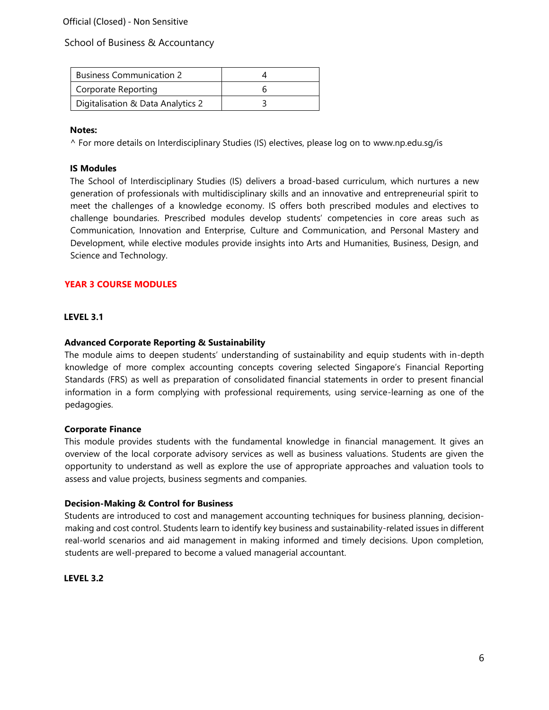# School of Business & Accountancy

| <b>Business Communication 2</b>   |  |
|-----------------------------------|--|
| Corporate Reporting               |  |
| Digitalisation & Data Analytics 2 |  |

#### **Notes:**

^ For more details on Interdisciplinary Studies (IS) electives, please log on to [www.np.edu.sg/is](http://www.np.edu.sg/is)

### **IS Modules**

The School of Interdisciplinary Studies (IS) delivers a broad-based curriculum, which nurtures a new generation of professionals with multidisciplinary skills and an innovative and entrepreneurial spirit to meet the challenges of a knowledge economy. IS offers both prescribed modules and electives to challenge boundaries. Prescribed modules develop students' competencies in core areas such as Communication, Innovation and Enterprise, Culture and Communication, and Personal Mastery and Development, while elective modules provide insights into Arts and Humanities, Business, Design, and Science and Technology.

# **YEAR 3 COURSE MODULES**

#### **LEVEL 3.1**

### **Advanced Corporate Reporting & Sustainability**

The module aims to deepen students' understanding of sustainability and equip students with in-depth knowledge of more complex accounting concepts covering selected Singapore's Financial Reporting Standards (FRS) as well as preparation of consolidated financial statements in order to present financial information in a form complying with professional requirements, using service-learning as one of the pedagogies.

#### **Corporate Finance**

This module provides students with the fundamental knowledge in financial management. It gives an overview of the local corporate advisory services as well as business valuations. Students are given the opportunity to understand as well as explore the use of appropriate approaches and valuation tools to assess and value projects, business segments and companies.

#### **Decision-Making & Control for Business**

Students are introduced to cost and management accounting techniques for business planning, decisionmaking and cost control. Students learn to identify key business and sustainability-related issues in different real-world scenarios and aid management in making informed and timely decisions. Upon completion, students are well-prepared to become a valued managerial accountant.

#### **LEVEL 3.2**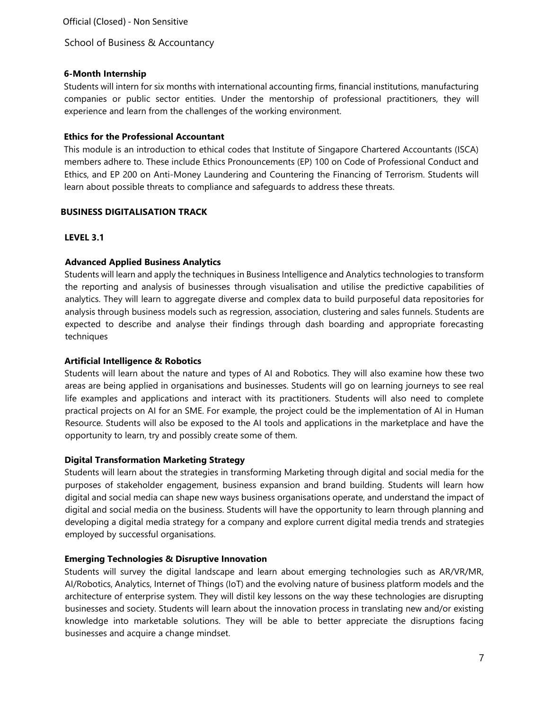School of Business & Accountancy

# **6-Month Internship**

Students will intern for six months with international accounting firms, financial institutions, manufacturing companies or public sector entities. Under the mentorship of professional practitioners, they will experience and learn from the challenges of the working environment.

### **Ethics for the Professional Accountant**

This module is an introduction to ethical codes that Institute of Singapore Chartered Accountants (ISCA) members adhere to. These include Ethics Pronouncements (EP) 100 on Code of Professional Conduct and Ethics, and EP 200 on Anti-Money Laundering and Countering the Financing of Terrorism. Students will learn about possible threats to compliance and safeguards to address these threats.

# **BUSINESS DIGITALISATION TRACK**

# **LEVEL 3.1**

# **Advanced Applied Business Analytics**

Students will learn and apply the techniques in Business Intelligence and Analytics technologies to transform the reporting and analysis of businesses through visualisation and utilise the predictive capabilities of analytics. They will learn to aggregate diverse and complex data to build purposeful data repositories for analysis through business models such as regression, association, clustering and sales funnels. Students are expected to describe and analyse their findings through dash boarding and appropriate forecasting techniques

# **Artificial Intelligence & Robotics**

Students will learn about the nature and types of AI and Robotics. They will also examine how these two areas are being applied in organisations and businesses. Students will go on learning journeys to see real life examples and applications and interact with its practitioners. Students will also need to complete practical projects on AI for an SME. For example, the project could be the implementation of AI in Human Resource. Students will also be exposed to the AI tools and applications in the marketplace and have the opportunity to learn, try and possibly create some of them.

# **Digital Transformation Marketing Strategy**

Students will learn about the strategies in transforming Marketing through digital and social media for the purposes of stakeholder engagement, business expansion and brand building. Students will learn how digital and social media can shape new ways business organisations operate, and understand the impact of digital and social media on the business. Students will have the opportunity to learn through planning and developing a digital media strategy for a company and explore current digital media trends and strategies employed by successful organisations.

# **Emerging Technologies & Disruptive Innovation**

Students will survey the digital landscape and learn about emerging technologies such as AR/VR/MR, AI/Robotics, Analytics, Internet of Things (IoT) and the evolving nature of business platform models and the architecture of enterprise system. They will distil key lessons on the way these technologies are disrupting businesses and society. Students will learn about the innovation process in translating new and/or existing knowledge into marketable solutions. They will be able to better appreciate the disruptions facing businesses and acquire a change mindset.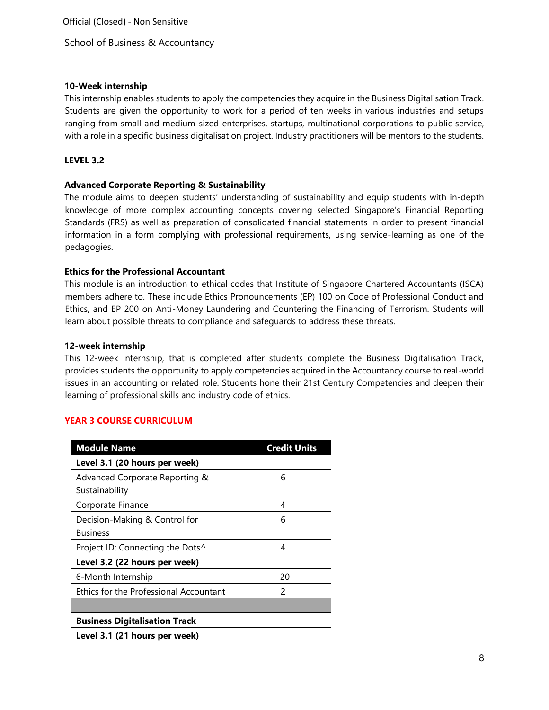School of Business & Accountancy

### **10-Week internship**

This internship enables students to apply the competencies they acquire in the Business Digitalisation Track. Students are given the opportunity to work for a period of ten weeks in various industries and setups ranging from small and medium-sized enterprises, startups, multinational corporations to public service, with a role in a specific business digitalisation project. Industry practitioners will be mentors to the students.

### **LEVEL 3.2**

### **Advanced Corporate Reporting & Sustainability**

The module aims to deepen students' understanding of sustainability and equip students with in-depth knowledge of more complex accounting concepts covering selected Singapore's Financial Reporting Standards (FRS) as well as preparation of consolidated financial statements in order to present financial information in a form complying with professional requirements, using service-learning as one of the pedagogies.

### **Ethics for the Professional Accountant**

This module is an introduction to ethical codes that Institute of Singapore Chartered Accountants (ISCA) members adhere to. These include Ethics Pronouncements (EP) 100 on Code of Professional Conduct and Ethics, and EP 200 on Anti-Money Laundering and Countering the Financing of Terrorism. Students will learn about possible threats to compliance and safeguards to address these threats.

### **12-week internship**

This 12-week internship, that is completed after students complete the Business Digitalisation Track, provides students the opportunity to apply competencies acquired in the Accountancy course to real-world issues in an accounting or related role. Students hone their 21st Century Competencies and deepen their learning of professional skills and industry code of ethics.

# **YEAR 3 COURSE CURRICULUM**

| <b>Module Name</b>                     | <b>Credit Units</b> |
|----------------------------------------|---------------------|
| Level 3.1 (20 hours per week)          |                     |
| Advanced Corporate Reporting &         | 6                   |
| Sustainability                         |                     |
| Corporate Finance                      | 4                   |
| Decision-Making & Control for          | 6                   |
| Business                               |                     |
| Project ID: Connecting the Dots^       | 4                   |
| Level 3.2 (22 hours per week)          |                     |
| 6-Month Internship                     | 20                  |
| Ethics for the Professional Accountant | $\mathcal{P}$       |
|                                        |                     |
| <b>Business Digitalisation Track</b>   |                     |
| Level 3.1 (21 hours per week)          |                     |